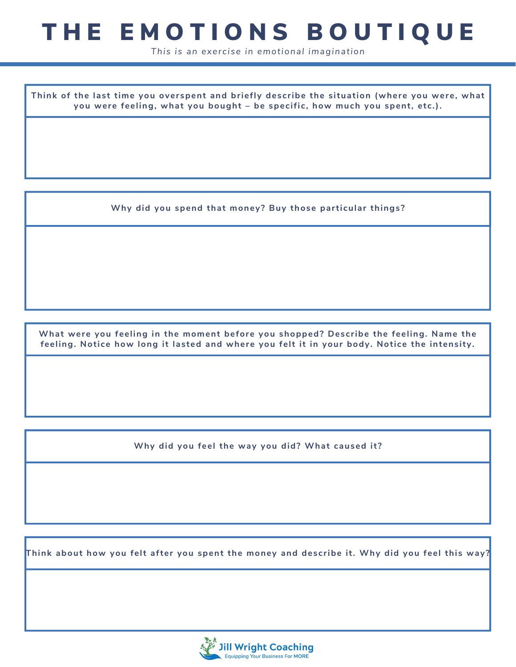## THE EMOTIONS BOUTIQUE

*This is an exercise in emotional imagination*

**Think of the last time you overspent and briefly describe the situation (where you were, what you were feeling, what you bought – be specific, how much you spent, etc.).**

**Why did you spend that money? Buy those particular things?**

**What were you feeling in the moment before you shopped? Describe the feeling. Name the feeling. Notice how long it lasted and where you felt it in your body. Notice the intensity.**

**Why did you feel the way you did? What caused it?**

**Think about how you felt after you spent the money and describe it. Why did you feel this way?**

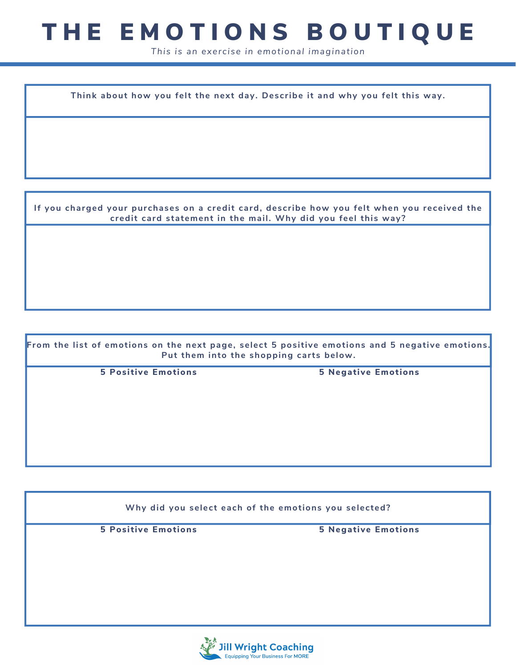## THE EMOTIONS BOUTIQUE

*This is an exercise in emotional imagination*

**Think about how you felt the next day. Describe it and why you felt this way.**

**If you charged your purchases on a credit card, describe how you felt when you received the credit card statement in the mail. Why did you feel this way?**

**From the list of emotions on the next page, select 5 positive emotions and 5 negative emotions. Put them into the shopping carts below. 5 Positive Emotions 5 Negative Emotions**

**Why did you select each of the emotions you selected? 5 Positive Emotions 5 Negative Emotions**